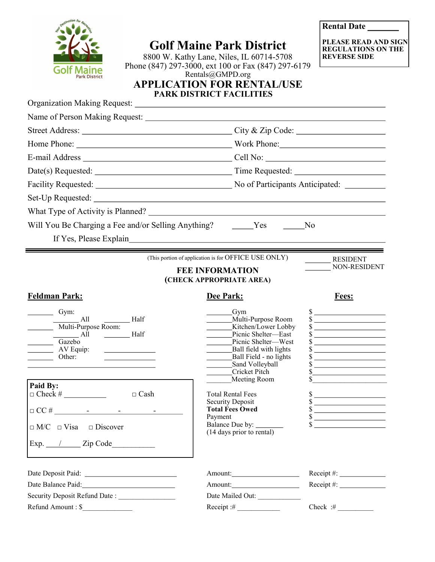|                                                         | <b>Golf Maine Park District</b><br>8800 W. Kathy Lane, Niles, IL 60714-5708<br>Phone (847) 297-3000, ext 100 or Fax (847) 297-6179 | PLEASE READ AND SIGN<br><b>REGULATIONS ON THE</b><br><b>REVERSE SIDE</b>                                                                                                                                                                                                                                                                                                                                                                     |
|---------------------------------------------------------|------------------------------------------------------------------------------------------------------------------------------------|----------------------------------------------------------------------------------------------------------------------------------------------------------------------------------------------------------------------------------------------------------------------------------------------------------------------------------------------------------------------------------------------------------------------------------------------|
| 'ark District                                           | Rentals@GMPD.org<br><b>APPLICATION FOR RENTAL/USE</b>                                                                              |                                                                                                                                                                                                                                                                                                                                                                                                                                              |
|                                                         | PARK DISTRICT FACILITIES                                                                                                           |                                                                                                                                                                                                                                                                                                                                                                                                                                              |
|                                                         |                                                                                                                                    |                                                                                                                                                                                                                                                                                                                                                                                                                                              |
|                                                         |                                                                                                                                    |                                                                                                                                                                                                                                                                                                                                                                                                                                              |
|                                                         |                                                                                                                                    |                                                                                                                                                                                                                                                                                                                                                                                                                                              |
|                                                         |                                                                                                                                    |                                                                                                                                                                                                                                                                                                                                                                                                                                              |
|                                                         |                                                                                                                                    |                                                                                                                                                                                                                                                                                                                                                                                                                                              |
|                                                         |                                                                                                                                    |                                                                                                                                                                                                                                                                                                                                                                                                                                              |
|                                                         |                                                                                                                                    |                                                                                                                                                                                                                                                                                                                                                                                                                                              |
|                                                         |                                                                                                                                    |                                                                                                                                                                                                                                                                                                                                                                                                                                              |
|                                                         |                                                                                                                                    |                                                                                                                                                                                                                                                                                                                                                                                                                                              |
| Will You Be Charging a Fee and/or Selling Anything? Ves |                                                                                                                                    | N <sub>o</sub>                                                                                                                                                                                                                                                                                                                                                                                                                               |
|                                                         |                                                                                                                                    |                                                                                                                                                                                                                                                                                                                                                                                                                                              |
|                                                         | (This portion of application is for OFFICE USE ONLY)                                                                               | <b>RESIDENT</b>                                                                                                                                                                                                                                                                                                                                                                                                                              |
|                                                         | <b>FEE INFORMATION</b>                                                                                                             | NON-RESIDENT                                                                                                                                                                                                                                                                                                                                                                                                                                 |
|                                                         | (CHECK APPROPRIATE AREA)                                                                                                           |                                                                                                                                                                                                                                                                                                                                                                                                                                              |
|                                                         |                                                                                                                                    |                                                                                                                                                                                                                                                                                                                                                                                                                                              |
| <b>Feldman Park:</b>                                    | Dee Park:                                                                                                                          | Fees:                                                                                                                                                                                                                                                                                                                                                                                                                                        |
| Gym:                                                    | Gym                                                                                                                                | $\frac{\text{S}}{\text{S}}$                                                                                                                                                                                                                                                                                                                                                                                                                  |
| All<br>Half<br>Multi-Purpose Room:                      | Multi-Purpose Room<br>Kitchen/Lower Lobby                                                                                          |                                                                                                                                                                                                                                                                                                                                                                                                                                              |
| Half<br>$\frac{1}{2}$ All                               | Picnic Shelter-East                                                                                                                | <u> 2000 - Andrea Albert III, poet</u>                                                                                                                                                                                                                                                                                                                                                                                                       |
| Gazebo<br>AV Equip:                                     | Picnic Shelter—West<br>Ball field with lights                                                                                      | $\sim$                                                                                                                                                                                                                                                                                                                                                                                                                                       |
| Other:                                                  | Ball Field - no lights<br>Sand Volleyball                                                                                          |                                                                                                                                                                                                                                                                                                                                                                                                                                              |
|                                                         | Cricket Pitch                                                                                                                      | $\frac{\text{S}}{\text{S}}$                                                                                                                                                                                                                                                                                                                                                                                                                  |
| Paid By:                                                | Meeting Room                                                                                                                       |                                                                                                                                                                                                                                                                                                                                                                                                                                              |
| $\Box$ Cash                                             | <b>Total Rental Fees</b><br><b>Security Deposit</b>                                                                                |                                                                                                                                                                                                                                                                                                                                                                                                                                              |
|                                                         | <b>Total Fees Owed</b><br>Payment                                                                                                  |                                                                                                                                                                                                                                                                                                                                                                                                                                              |
| $\Box$ M/C $\Box$ Visa $\Box$ Discover                  | Balance Due by: _____<br>(14 days prior to rental)                                                                                 | $\frac{\sqrt{2}}{2}$<br>$\frac{1}{\sqrt{1-\frac{1}{2}}\sqrt{1-\frac{1}{2}}\sqrt{1-\frac{1}{2}}\sqrt{1-\frac{1}{2}}\sqrt{1-\frac{1}{2}}\sqrt{1-\frac{1}{2}}\sqrt{1-\frac{1}{2}}\sqrt{1-\frac{1}{2}}\sqrt{1-\frac{1}{2}}\sqrt{1-\frac{1}{2}}\sqrt{1-\frac{1}{2}}\sqrt{1-\frac{1}{2}}\sqrt{1-\frac{1}{2}}\sqrt{1-\frac{1}{2}}\sqrt{1-\frac{1}{2}}\sqrt{1-\frac{1}{2}}\sqrt{1-\frac{1}{2}}\sqrt{1-\frac{1}{2}}\sqrt{1-\frac{1}{2}}\sqrt{1-\frac$ |
|                                                         |                                                                                                                                    |                                                                                                                                                                                                                                                                                                                                                                                                                                              |
|                                                         |                                                                                                                                    | Receipt#:                                                                                                                                                                                                                                                                                                                                                                                                                                    |
| Date Balance Paid:<br><u>Date Balance Paid:</u>         |                                                                                                                                    | $Receipt \#:\_$                                                                                                                                                                                                                                                                                                                                                                                                                              |
| Security Deposit Refund Date :<br>Refund Amount : \$    | Date Mailed Out:<br>$\text{Receipt}: \#$                                                                                           | Check $\mathcal{H}$                                                                                                                                                                                                                                                                                                                                                                                                                          |

Novi Desmin de Mech

ĝ

**Rental Date**